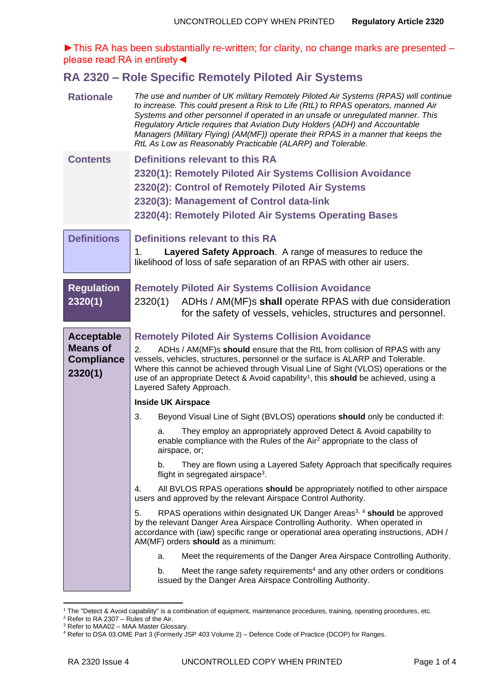►This RA has been substantially re-written; for clarity, no change marks are presented – please read RA in entirety◄

## **RA 2320 – Role Specific Remotely Piloted Air Systems**

| <b>Contents</b><br>Definitions relevant to this RA<br>2320(1): Remotely Piloted Air Systems Collision Avoidance<br>2320(2): Control of Remotely Piloted Air Systems<br>2320(3): Management of Control data-link<br>2320(4): Remotely Piloted Air Systems Operating Bases<br><b>Definitions</b><br>Definitions relevant to this RA<br>Layered Safety Approach. A range of measures to reduce the<br>1.<br>likelihood of loss of safe separation of an RPAS with other air users.<br><b>Regulation</b><br><b>Remotely Piloted Air Systems Collision Avoidance</b><br>2320(1)<br>2320(1)<br>ADHs / AM(MF)s shall operate RPAS with due consideration<br>for the safety of vessels, vehicles, structures and personnel.<br><b>Remotely Piloted Air Systems Collision Avoidance</b><br><b>Acceptable</b><br><b>Means of</b><br>2.<br>ADHs / AM(MF)s should ensure that the RtL from collision of RPAS with any<br>vessels, vehicles, structures, personnel or the surface is ALARP and Tolerable.<br><b>Compliance</b><br>Where this cannot be achieved through Visual Line of Sight (VLOS) operations or the<br>2320(1)<br>use of an appropriate Detect & Avoid capability <sup>1</sup> , this should be achieved, using a<br>Layered Safety Approach.<br><b>Inside UK Airspace</b><br>3.<br>Beyond Visual Line of Sight (BVLOS) operations should only be conducted if:<br>They employ an appropriately approved Detect & Avoid capability to<br>a.<br>enable compliance with the Rules of the Air <sup>2</sup> appropriate to the class of<br>airspace, or;<br>They are flown using a Layered Safety Approach that specifically requires<br>b.<br>flight in segregated airspace <sup>3</sup> .<br>All BVLOS RPAS operations should be appropriately notified to other airspace<br>4.<br>users and approved by the relevant Airspace Control Authority.<br>5.<br>RPAS operations within designated UK Danger Areas <sup>3, 4</sup> should be approved<br>by the relevant Danger Area Airspace Controlling Authority. When operated in<br>accordance with (iaw) specific range or operational area operating instructions, ADH /<br>AM(MF) orders should as a minimum:<br>Meet the requirements of the Danger Area Airspace Controlling Authority.<br>a.<br>Meet the range safety requirements <sup>4</sup> and any other orders or conditions<br>b.<br>issued by the Danger Area Airspace Controlling Authority. | <b>Rationale</b> | The use and number of UK military Remotely Piloted Air Systems (RPAS) will continue<br>to increase. This could present a Risk to Life (RtL) to RPAS operators, manned Air<br>Systems and other personnel if operated in an unsafe or unregulated manner. This<br>Regulatory Article requires that Aviation Duty Holders (ADH) and Accountable<br>Managers (Military Flying) (AM(MF)) operate their RPAS in a manner that keeps the<br>RtL As Low as Reasonably Practicable (ALARP) and Tolerable. |
|---------------------------------------------------------------------------------------------------------------------------------------------------------------------------------------------------------------------------------------------------------------------------------------------------------------------------------------------------------------------------------------------------------------------------------------------------------------------------------------------------------------------------------------------------------------------------------------------------------------------------------------------------------------------------------------------------------------------------------------------------------------------------------------------------------------------------------------------------------------------------------------------------------------------------------------------------------------------------------------------------------------------------------------------------------------------------------------------------------------------------------------------------------------------------------------------------------------------------------------------------------------------------------------------------------------------------------------------------------------------------------------------------------------------------------------------------------------------------------------------------------------------------------------------------------------------------------------------------------------------------------------------------------------------------------------------------------------------------------------------------------------------------------------------------------------------------------------------------------------------------------------------------------------------------------------------------------------------------------------------------------------------------------------------------------------------------------------------------------------------------------------------------------------------------------------------------------------------------------------------------------------------------------------------------------------------------------------------------------------------------------------------------------------|------------------|---------------------------------------------------------------------------------------------------------------------------------------------------------------------------------------------------------------------------------------------------------------------------------------------------------------------------------------------------------------------------------------------------------------------------------------------------------------------------------------------------|
|                                                                                                                                                                                                                                                                                                                                                                                                                                                                                                                                                                                                                                                                                                                                                                                                                                                                                                                                                                                                                                                                                                                                                                                                                                                                                                                                                                                                                                                                                                                                                                                                                                                                                                                                                                                                                                                                                                                                                                                                                                                                                                                                                                                                                                                                                                                                                                                                               |                  |                                                                                                                                                                                                                                                                                                                                                                                                                                                                                                   |
|                                                                                                                                                                                                                                                                                                                                                                                                                                                                                                                                                                                                                                                                                                                                                                                                                                                                                                                                                                                                                                                                                                                                                                                                                                                                                                                                                                                                                                                                                                                                                                                                                                                                                                                                                                                                                                                                                                                                                                                                                                                                                                                                                                                                                                                                                                                                                                                                               |                  |                                                                                                                                                                                                                                                                                                                                                                                                                                                                                                   |
|                                                                                                                                                                                                                                                                                                                                                                                                                                                                                                                                                                                                                                                                                                                                                                                                                                                                                                                                                                                                                                                                                                                                                                                                                                                                                                                                                                                                                                                                                                                                                                                                                                                                                                                                                                                                                                                                                                                                                                                                                                                                                                                                                                                                                                                                                                                                                                                                               |                  |                                                                                                                                                                                                                                                                                                                                                                                                                                                                                                   |
|                                                                                                                                                                                                                                                                                                                                                                                                                                                                                                                                                                                                                                                                                                                                                                                                                                                                                                                                                                                                                                                                                                                                                                                                                                                                                                                                                                                                                                                                                                                                                                                                                                                                                                                                                                                                                                                                                                                                                                                                                                                                                                                                                                                                                                                                                                                                                                                                               |                  |                                                                                                                                                                                                                                                                                                                                                                                                                                                                                                   |
|                                                                                                                                                                                                                                                                                                                                                                                                                                                                                                                                                                                                                                                                                                                                                                                                                                                                                                                                                                                                                                                                                                                                                                                                                                                                                                                                                                                                                                                                                                                                                                                                                                                                                                                                                                                                                                                                                                                                                                                                                                                                                                                                                                                                                                                                                                                                                                                                               |                  |                                                                                                                                                                                                                                                                                                                                                                                                                                                                                                   |
|                                                                                                                                                                                                                                                                                                                                                                                                                                                                                                                                                                                                                                                                                                                                                                                                                                                                                                                                                                                                                                                                                                                                                                                                                                                                                                                                                                                                                                                                                                                                                                                                                                                                                                                                                                                                                                                                                                                                                                                                                                                                                                                                                                                                                                                                                                                                                                                                               |                  |                                                                                                                                                                                                                                                                                                                                                                                                                                                                                                   |
|                                                                                                                                                                                                                                                                                                                                                                                                                                                                                                                                                                                                                                                                                                                                                                                                                                                                                                                                                                                                                                                                                                                                                                                                                                                                                                                                                                                                                                                                                                                                                                                                                                                                                                                                                                                                                                                                                                                                                                                                                                                                                                                                                                                                                                                                                                                                                                                                               |                  |                                                                                                                                                                                                                                                                                                                                                                                                                                                                                                   |
|                                                                                                                                                                                                                                                                                                                                                                                                                                                                                                                                                                                                                                                                                                                                                                                                                                                                                                                                                                                                                                                                                                                                                                                                                                                                                                                                                                                                                                                                                                                                                                                                                                                                                                                                                                                                                                                                                                                                                                                                                                                                                                                                                                                                                                                                                                                                                                                                               |                  |                                                                                                                                                                                                                                                                                                                                                                                                                                                                                                   |
|                                                                                                                                                                                                                                                                                                                                                                                                                                                                                                                                                                                                                                                                                                                                                                                                                                                                                                                                                                                                                                                                                                                                                                                                                                                                                                                                                                                                                                                                                                                                                                                                                                                                                                                                                                                                                                                                                                                                                                                                                                                                                                                                                                                                                                                                                                                                                                                                               |                  |                                                                                                                                                                                                                                                                                                                                                                                                                                                                                                   |
|                                                                                                                                                                                                                                                                                                                                                                                                                                                                                                                                                                                                                                                                                                                                                                                                                                                                                                                                                                                                                                                                                                                                                                                                                                                                                                                                                                                                                                                                                                                                                                                                                                                                                                                                                                                                                                                                                                                                                                                                                                                                                                                                                                                                                                                                                                                                                                                                               |                  |                                                                                                                                                                                                                                                                                                                                                                                                                                                                                                   |
|                                                                                                                                                                                                                                                                                                                                                                                                                                                                                                                                                                                                                                                                                                                                                                                                                                                                                                                                                                                                                                                                                                                                                                                                                                                                                                                                                                                                                                                                                                                                                                                                                                                                                                                                                                                                                                                                                                                                                                                                                                                                                                                                                                                                                                                                                                                                                                                                               |                  |                                                                                                                                                                                                                                                                                                                                                                                                                                                                                                   |
|                                                                                                                                                                                                                                                                                                                                                                                                                                                                                                                                                                                                                                                                                                                                                                                                                                                                                                                                                                                                                                                                                                                                                                                                                                                                                                                                                                                                                                                                                                                                                                                                                                                                                                                                                                                                                                                                                                                                                                                                                                                                                                                                                                                                                                                                                                                                                                                                               |                  |                                                                                                                                                                                                                                                                                                                                                                                                                                                                                                   |
|                                                                                                                                                                                                                                                                                                                                                                                                                                                                                                                                                                                                                                                                                                                                                                                                                                                                                                                                                                                                                                                                                                                                                                                                                                                                                                                                                                                                                                                                                                                                                                                                                                                                                                                                                                                                                                                                                                                                                                                                                                                                                                                                                                                                                                                                                                                                                                                                               |                  |                                                                                                                                                                                                                                                                                                                                                                                                                                                                                                   |
|                                                                                                                                                                                                                                                                                                                                                                                                                                                                                                                                                                                                                                                                                                                                                                                                                                                                                                                                                                                                                                                                                                                                                                                                                                                                                                                                                                                                                                                                                                                                                                                                                                                                                                                                                                                                                                                                                                                                                                                                                                                                                                                                                                                                                                                                                                                                                                                                               |                  |                                                                                                                                                                                                                                                                                                                                                                                                                                                                                                   |
|                                                                                                                                                                                                                                                                                                                                                                                                                                                                                                                                                                                                                                                                                                                                                                                                                                                                                                                                                                                                                                                                                                                                                                                                                                                                                                                                                                                                                                                                                                                                                                                                                                                                                                                                                                                                                                                                                                                                                                                                                                                                                                                                                                                                                                                                                                                                                                                                               |                  |                                                                                                                                                                                                                                                                                                                                                                                                                                                                                                   |
|                                                                                                                                                                                                                                                                                                                                                                                                                                                                                                                                                                                                                                                                                                                                                                                                                                                                                                                                                                                                                                                                                                                                                                                                                                                                                                                                                                                                                                                                                                                                                                                                                                                                                                                                                                                                                                                                                                                                                                                                                                                                                                                                                                                                                                                                                                                                                                                                               |                  |                                                                                                                                                                                                                                                                                                                                                                                                                                                                                                   |
|                                                                                                                                                                                                                                                                                                                                                                                                                                                                                                                                                                                                                                                                                                                                                                                                                                                                                                                                                                                                                                                                                                                                                                                                                                                                                                                                                                                                                                                                                                                                                                                                                                                                                                                                                                                                                                                                                                                                                                                                                                                                                                                                                                                                                                                                                                                                                                                                               |                  |                                                                                                                                                                                                                                                                                                                                                                                                                                                                                                   |
|                                                                                                                                                                                                                                                                                                                                                                                                                                                                                                                                                                                                                                                                                                                                                                                                                                                                                                                                                                                                                                                                                                                                                                                                                                                                                                                                                                                                                                                                                                                                                                                                                                                                                                                                                                                                                                                                                                                                                                                                                                                                                                                                                                                                                                                                                                                                                                                                               |                  |                                                                                                                                                                                                                                                                                                                                                                                                                                                                                                   |
|                                                                                                                                                                                                                                                                                                                                                                                                                                                                                                                                                                                                                                                                                                                                                                                                                                                                                                                                                                                                                                                                                                                                                                                                                                                                                                                                                                                                                                                                                                                                                                                                                                                                                                                                                                                                                                                                                                                                                                                                                                                                                                                                                                                                                                                                                                                                                                                                               |                  |                                                                                                                                                                                                                                                                                                                                                                                                                                                                                                   |
|                                                                                                                                                                                                                                                                                                                                                                                                                                                                                                                                                                                                                                                                                                                                                                                                                                                                                                                                                                                                                                                                                                                                                                                                                                                                                                                                                                                                                                                                                                                                                                                                                                                                                                                                                                                                                                                                                                                                                                                                                                                                                                                                                                                                                                                                                                                                                                                                               |                  |                                                                                                                                                                                                                                                                                                                                                                                                                                                                                                   |

<span id="page-0-2"></span><span id="page-0-1"></span><span id="page-0-0"></span><sup>&</sup>lt;sup>1</sup> The "Detect & Avoid capability" is a combination of equipment, maintenance procedures, training, operating procedures, etc.

 $2$  Refer to RA 2307 – Rules of the Air.

<sup>&</sup>lt;sup>3</sup> Refer to MAA02 – MAA Master Glossary.

<sup>4</sup> Refer to DSA 03.OME Part 3 (Formerly JSP 403 Volume 2) – Defence Code of Practice (DCOP) for Ranges.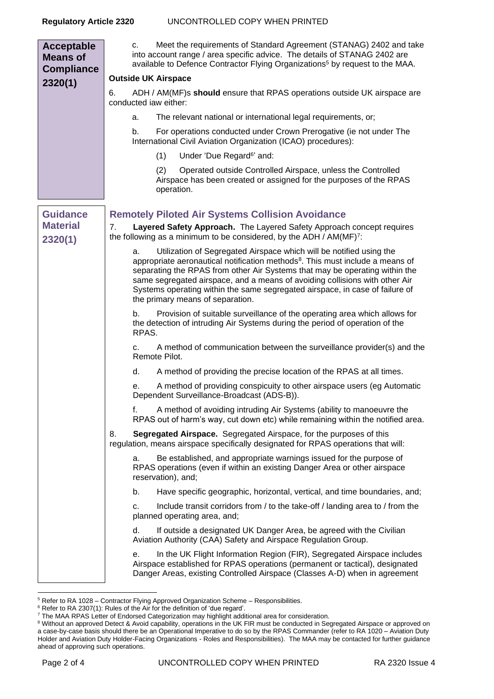| <b>Acceptable</b><br><b>Means of</b><br><b>Compliance</b> | Meet the requirements of Standard Agreement (STANAG) 2402 and take<br>c.<br>into account range / area specific advice. The details of STANAG 2402 are<br>available to Defence Contractor Flying Organizations <sup>5</sup> by request to the MAA.                                                                                                                                                                                                        |
|-----------------------------------------------------------|----------------------------------------------------------------------------------------------------------------------------------------------------------------------------------------------------------------------------------------------------------------------------------------------------------------------------------------------------------------------------------------------------------------------------------------------------------|
| 2320(1)                                                   | <b>Outside UK Airspace</b>                                                                                                                                                                                                                                                                                                                                                                                                                               |
|                                                           | ADH / AM(MF)s should ensure that RPAS operations outside UK airspace are<br>6.<br>conducted iaw either:                                                                                                                                                                                                                                                                                                                                                  |
|                                                           | The relevant national or international legal requirements, or;<br>a.                                                                                                                                                                                                                                                                                                                                                                                     |
|                                                           | For operations conducted under Crown Prerogative (ie not under The<br>b.<br>International Civil Aviation Organization (ICAO) procedures):                                                                                                                                                                                                                                                                                                                |
|                                                           | Under 'Due Regard <sup>6</sup> ' and:<br>(1)                                                                                                                                                                                                                                                                                                                                                                                                             |
|                                                           | Operated outside Controlled Airspace, unless the Controlled<br>(2)<br>Airspace has been created or assigned for the purposes of the RPAS<br>operation.                                                                                                                                                                                                                                                                                                   |
| <b>Guidance</b>                                           | <b>Remotely Piloted Air Systems Collision Avoidance</b>                                                                                                                                                                                                                                                                                                                                                                                                  |
| <b>Material</b><br>2320(1)                                | 7.<br>Layered Safety Approach. The Layered Safety Approach concept requires<br>the following as a minimum to be considered, by the ADH / AM(MF) <sup>7</sup> :                                                                                                                                                                                                                                                                                           |
|                                                           | Utilization of Segregated Airspace which will be notified using the<br>a.<br>appropriate aeronautical notification methods <sup>8</sup> . This must include a means of<br>separating the RPAS from other Air Systems that may be operating within the<br>same segregated airspace, and a means of avoiding collisions with other Air<br>Systems operating within the same segregated airspace, in case of failure of<br>the primary means of separation. |
|                                                           | Provision of suitable surveillance of the operating area which allows for<br>b.<br>the detection of intruding Air Systems during the period of operation of the<br>RPAS.                                                                                                                                                                                                                                                                                 |
|                                                           | A method of communication between the surveillance provider(s) and the<br>c.<br>Remote Pilot.                                                                                                                                                                                                                                                                                                                                                            |
|                                                           | A method of providing the precise location of the RPAS at all times.<br>d.                                                                                                                                                                                                                                                                                                                                                                               |
|                                                           | A method of providing conspicuity to other airspace users (eg Automatic<br>е.<br>Dependent Surveillance-Broadcast (ADS-B)).                                                                                                                                                                                                                                                                                                                              |
|                                                           | A method of avoiding intruding Air Systems (ability to manoeuvre the<br>f.<br>RPAS out of harm's way, cut down etc) while remaining within the notified area.                                                                                                                                                                                                                                                                                            |
|                                                           | Segregated Airspace. Segregated Airspace, for the purposes of this<br>8.<br>regulation, means airspace specifically designated for RPAS operations that will:                                                                                                                                                                                                                                                                                            |
|                                                           | Be established, and appropriate warnings issued for the purpose of<br>а.<br>RPAS operations (even if within an existing Danger Area or other airspace<br>reservation), and;                                                                                                                                                                                                                                                                              |
|                                                           | Have specific geographic, horizontal, vertical, and time boundaries, and;<br>b.                                                                                                                                                                                                                                                                                                                                                                          |
|                                                           | Include transit corridors from / to the take-off / landing area to / from the<br>c.<br>planned operating area, and;                                                                                                                                                                                                                                                                                                                                      |
|                                                           | If outside a designated UK Danger Area, be agreed with the Civilian<br>d.<br>Aviation Authority (CAA) Safety and Airspace Regulation Group.                                                                                                                                                                                                                                                                                                              |
|                                                           | In the UK Flight Information Region (FIR), Segregated Airspace includes<br>е.<br>Airspace established for RPAS operations (permanent or tactical), designated<br>Danger Areas, existing Controlled Airspace (Classes A-D) when in agreement                                                                                                                                                                                                              |

<sup>&</sup>lt;sup>5</sup> Refer to RA 1028 – Contractor Flying Approved Organization Scheme – Responsibilities.

 $6$  Refer to RA 2307(1): Rules of the Air for the definition of 'due regard'.

 $7$  The MAA RPAS Letter of Endorsed Categorization may highlight additional area for consideration.

<sup>&</sup>lt;sup>8</sup> Without an approved Detect & Avoid capability, operations in the UK FIR must be conducted in Segregated Airspace or approved on a case-by-case basis should there be an Operational Imperative to do so by the RPAS Commander (refer to RA 1020 – Aviation Duty Holder and Aviation Duty Holder-Facing Organizations - Roles and Responsibilities). The MAA may be contacted for further guidance ahead of approving such operations.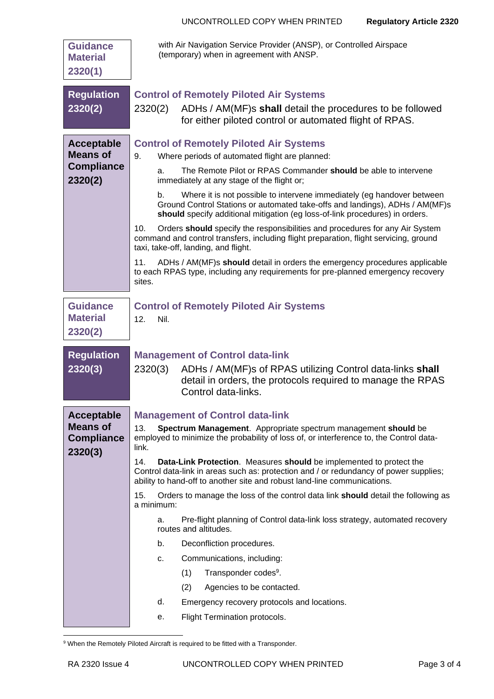| <b>Guidance</b><br><b>Material</b><br>2320(1)                        | with Air Navigation Service Provider (ANSP), or Controlled Airspace<br>(temporary) when in agreement with ANSP.                                                                                                                                                                                                                                                                                                                                                                                                                                                                                                                                                                                                                                                                                                                                                                                                |
|----------------------------------------------------------------------|----------------------------------------------------------------------------------------------------------------------------------------------------------------------------------------------------------------------------------------------------------------------------------------------------------------------------------------------------------------------------------------------------------------------------------------------------------------------------------------------------------------------------------------------------------------------------------------------------------------------------------------------------------------------------------------------------------------------------------------------------------------------------------------------------------------------------------------------------------------------------------------------------------------|
| <b>Regulation</b><br>2320(2)                                         | <b>Control of Remotely Piloted Air Systems</b><br>ADHs / AM(MF)s shall detail the procedures to be followed<br>2320(2)<br>for either piloted control or automated flight of RPAS.                                                                                                                                                                                                                                                                                                                                                                                                                                                                                                                                                                                                                                                                                                                              |
| <b>Acceptable</b><br><b>Means of</b><br><b>Compliance</b><br>2320(2) | <b>Control of Remotely Piloted Air Systems</b><br>9.<br>Where periods of automated flight are planned:<br>The Remote Pilot or RPAS Commander should be able to intervene<br>a.<br>immediately at any stage of the flight or;<br>Where it is not possible to intervene immediately (eg handover between<br>b.<br>Ground Control Stations or automated take-offs and landings), ADHs / AM(MF)s<br>should specify additional mitigation (eg loss-of-link procedures) in orders.<br>Orders should specify the responsibilities and procedures for any Air System<br>10.<br>command and control transfers, including flight preparation, flight servicing, ground<br>taxi, take-off, landing, and flight.<br>ADHs / AM(MF)s should detail in orders the emergency procedures applicable<br>11.<br>to each RPAS type, including any requirements for pre-planned emergency recovery<br>sites.                        |
| <b>Guidance</b><br><b>Material</b><br>2320(2)                        | <b>Control of Remotely Piloted Air Systems</b><br>12.<br>Nil.                                                                                                                                                                                                                                                                                                                                                                                                                                                                                                                                                                                                                                                                                                                                                                                                                                                  |
| <b>Regulation</b><br>2320(3)                                         | <b>Management of Control data-link</b><br>2320(3)<br>ADHs / AM(MF)s of RPAS utilizing Control data-links shall<br>detail in orders, the protocols required to manage the RPAS<br>Control data-links.                                                                                                                                                                                                                                                                                                                                                                                                                                                                                                                                                                                                                                                                                                           |
| <b>Acceptable</b><br><b>Means of</b><br><b>Compliance</b><br>2320(3) | <b>Management of Control data-link</b><br>13.<br>Spectrum Management. Appropriate spectrum management should be<br>employed to minimize the probability of loss of, or interference to, the Control data-<br>link.<br>14.<br>Data-Link Protection. Measures should be implemented to protect the<br>Control data-link in areas such as: protection and / or redundancy of power supplies;<br>ability to hand-off to another site and robust land-line communications.<br>15.<br>Orders to manage the loss of the control data link <b>should</b> detail the following as<br>a minimum:<br>Pre-flight planning of Control data-link loss strategy, automated recovery<br>a.<br>routes and altitudes.<br>b.<br>Deconfliction procedures.<br>Communications, including:<br>c.<br>(1)<br>Transponder codes <sup>9</sup> .<br>(2)<br>Agencies to be contacted.<br>d.<br>Emergency recovery protocols and locations. |
|                                                                      |                                                                                                                                                                                                                                                                                                                                                                                                                                                                                                                                                                                                                                                                                                                                                                                                                                                                                                                |
|                                                                      | Flight Termination protocols.<br>е.                                                                                                                                                                                                                                                                                                                                                                                                                                                                                                                                                                                                                                                                                                                                                                                                                                                                            |

<sup>&</sup>lt;sup>9</sup> When the Remotely Piloted Aircraft is required to be fitted with a Transponder.